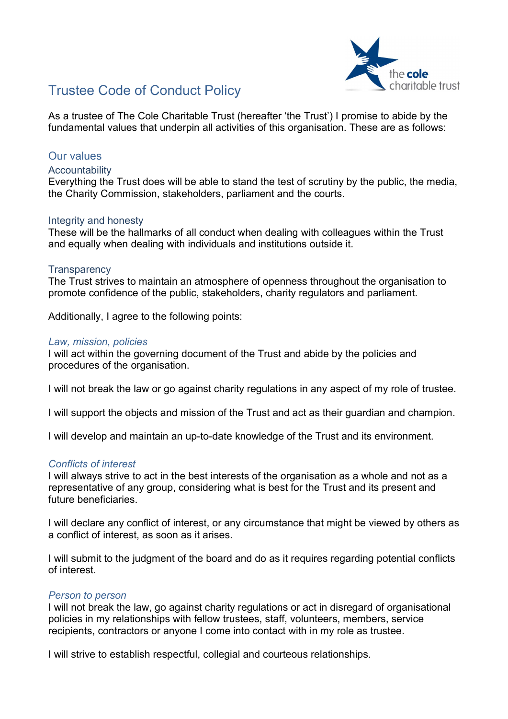

# Trustee Code of Conduct Policy

As a trustee of The Cole Charitable Trust (hereafter 'the Trust') I promise to abide by the fundamental values that underpin all activities of this organisation. These are as follows:

# Our values

## **Accountability**

Everything the Trust does will be able to stand the test of scrutiny by the public, the media, the Charity Commission, stakeholders, parliament and the courts.

## Integrity and honesty

These will be the hallmarks of all conduct when dealing with colleagues within the Trust and equally when dealing with individuals and institutions outside it.

## **Transparency**

The Trust strives to maintain an atmosphere of openness throughout the organisation to promote confidence of the public, stakeholders, charity regulators and parliament.

Additionally, I agree to the following points:

## Law, mission, policies

I will act within the governing document of the Trust and abide by the policies and procedures of the organisation.

I will not break the law or go against charity regulations in any aspect of my role of trustee.

I will support the objects and mission of the Trust and act as their guardian and champion.

I will develop and maintain an up-to-date knowledge of the Trust and its environment.

## Conflicts of interest

I will always strive to act in the best interests of the organisation as a whole and not as a representative of any group, considering what is best for the Trust and its present and future beneficiaries.

I will declare any conflict of interest, or any circumstance that might be viewed by others as a conflict of interest, as soon as it arises.

I will submit to the judgment of the board and do as it requires regarding potential conflicts of interest.

## Person to person

I will not break the law, go against charity regulations or act in disregard of organisational policies in my relationships with fellow trustees, staff, volunteers, members, service recipients, contractors or anyone I come into contact with in my role as trustee.

I will strive to establish respectful, collegial and courteous relationships.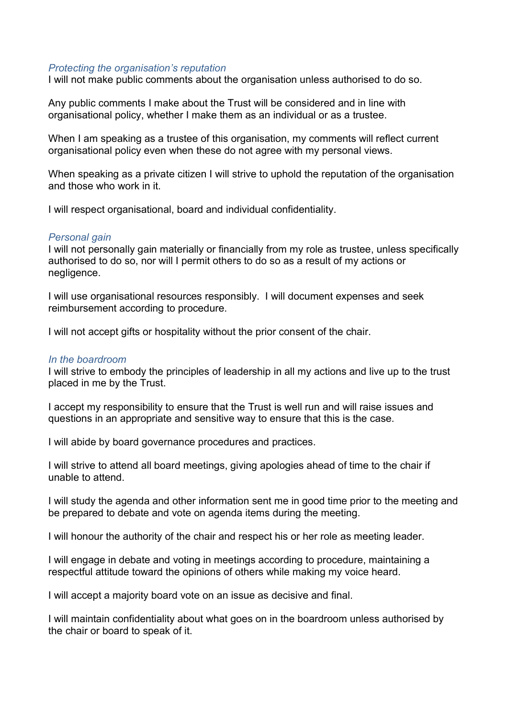## Protecting the organisation's reputation

I will not make public comments about the organisation unless authorised to do so.

Any public comments I make about the Trust will be considered and in line with organisational policy, whether I make them as an individual or as a trustee.

When I am speaking as a trustee of this organisation, my comments will reflect current organisational policy even when these do not agree with my personal views.

When speaking as a private citizen I will strive to uphold the reputation of the organisation and those who work in it.

I will respect organisational, board and individual confidentiality.

#### Personal gain

I will not personally gain materially or financially from my role as trustee, unless specifically authorised to do so, nor will I permit others to do so as a result of my actions or negligence.

I will use organisational resources responsibly. I will document expenses and seek reimbursement according to procedure.

I will not accept gifts or hospitality without the prior consent of the chair.

#### In the boardroom

I will strive to embody the principles of leadership in all my actions and live up to the trust placed in me by the Trust.

I accept my responsibility to ensure that the Trust is well run and will raise issues and questions in an appropriate and sensitive way to ensure that this is the case.

I will abide by board governance procedures and practices.

I will strive to attend all board meetings, giving apologies ahead of time to the chair if unable to attend.

I will study the agenda and other information sent me in good time prior to the meeting and be prepared to debate and vote on agenda items during the meeting.

I will honour the authority of the chair and respect his or her role as meeting leader.

I will engage in debate and voting in meetings according to procedure, maintaining a respectful attitude toward the opinions of others while making my voice heard.

I will accept a majority board vote on an issue as decisive and final.

I will maintain confidentiality about what goes on in the boardroom unless authorised by the chair or board to speak of it.